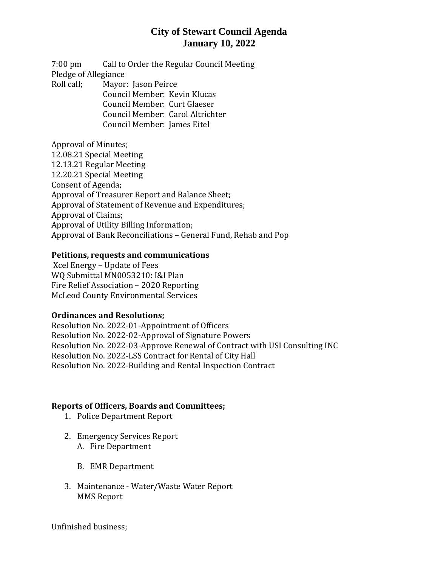## **City of Stewart Council Agenda January 10, 2022**

7:00 pm Call to Order the Regular Council Meeting Pledge of Allegiance Roll call; Mayor: Jason Peirce Council Member: Kevin Klucas Council Member: Curt Glaeser

Council Member: Carol Altrichter Council Member: James Eitel

Approval of Minutes;

12.08.21 Special Meeting 12.13.21 Regular Meeting 12.20.21 Special Meeting Consent of Agenda; Approval of Treasurer Report and Balance Sheet; Approval of Statement of Revenue and Expenditures; Approval of Claims; Approval of Utility Billing Information; Approval of Bank Reconciliations – General Fund, Rehab and Pop

### **Petitions, requests and communications**

Xcel Energy – Update of Fees WQ Submittal MN0053210: I&I Plan Fire Relief Association – 2020 Reporting McLeod County Environmental Services

### **Ordinances and Resolutions;**

Resolution No. 2022-01-Appointment of Officers Resolution No. 2022-02-Approval of Signature Powers Resolution No. 2022-03-Approve Renewal of Contract with USI Consulting INC Resolution No. 2022-LSS Contract for Rental of City Hall Resolution No. 2022-Building and Rental Inspection Contract

### **Reports of Officers, Boards and Committees;**

- 1. Police Department Report
- 2. Emergency Services Report
	- A. Fire Department
	- B. EMR Department
- 3. Maintenance Water/Waste Water Report MMS Report

Unfinished business;